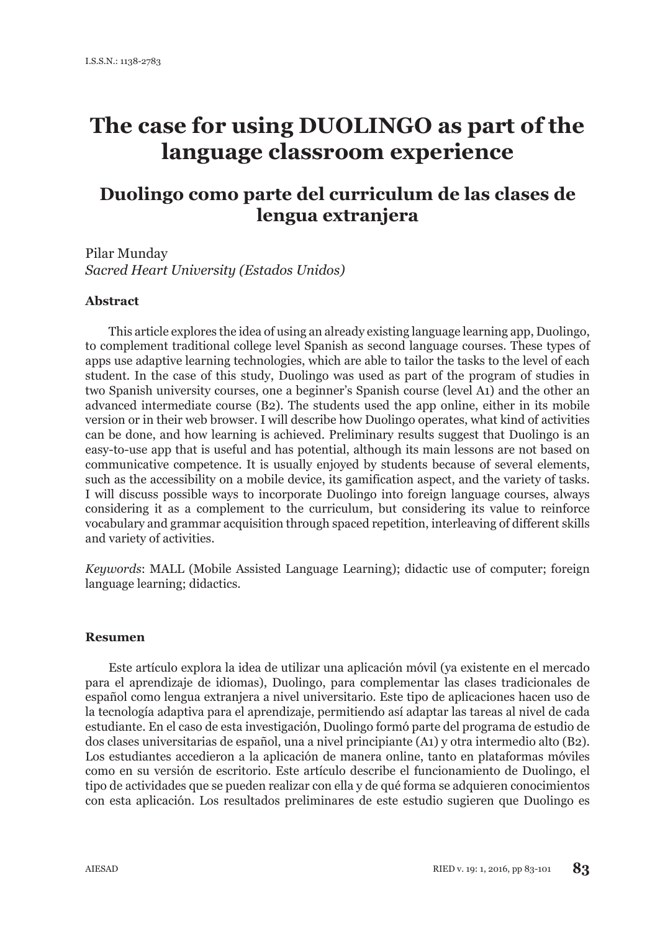## **Duolingo como parte del curriculum de las clases de lengua extranjera**

Pilar Munday *Sacred Heart University (Estados Unidos)*

#### **Abstract**

This article explores the idea of using an already existing language learning app, Duolingo, to complement traditional college level Spanish as second language courses. These types of apps use adaptive learning technologies, which are able to tailor the tasks to the level of each student. In the case of this study, Duolingo was used as part of the program of studies in two Spanish university courses, one a beginner's Spanish course (level A1) and the other an advanced intermediate course (B2). The students used the app online, either in its mobile version or in their web browser. I will describe how Duolingo operates, what kind of activities can be done, and how learning is achieved. Preliminary results suggest that Duolingo is an easy-to-use app that is useful and has potential, although its main lessons are not based on communicative competence. It is usually enjoyed by students because of several elements, such as the accessibility on a mobile device, its gamification aspect, and the variety of tasks. I will discuss possible ways to incorporate Duolingo into foreign language courses, always considering it as a complement to the curriculum, but considering its value to reinforce vocabulary and grammar acquisition through spaced repetition, interleaving of different skills and variety of activities.

*Keywords*: MALL (Mobile Assisted Language Learning); didactic use of computer; foreign language learning; didactics.

#### **Resumen**

Este artículo explora la idea de utilizar una aplicación móvil (ya existente en el mercado para el aprendizaje de idiomas), Duolingo, para complementar las clases tradicionales de español como lengua extranjera a nivel universitario. Este tipo de aplicaciones hacen uso de la tecnología adaptiva para el aprendizaje, permitiendo así adaptar las tareas al nivel de cada estudiante. En el caso de esta investigación, Duolingo formó parte del programa de estudio de dos clases universitarias de español, una a nivel principiante (A1) y otra intermedio alto (B2). Los estudiantes accedieron a la aplicación de manera online, tanto en plataformas móviles como en su versión de escritorio. Este artículo describe el funcionamiento de Duolingo, el tipo de actividades que se pueden realizar con ella y de qué forma se adquieren conocimientos con esta aplicación. Los resultados preliminares de este estudio sugieren que Duolingo es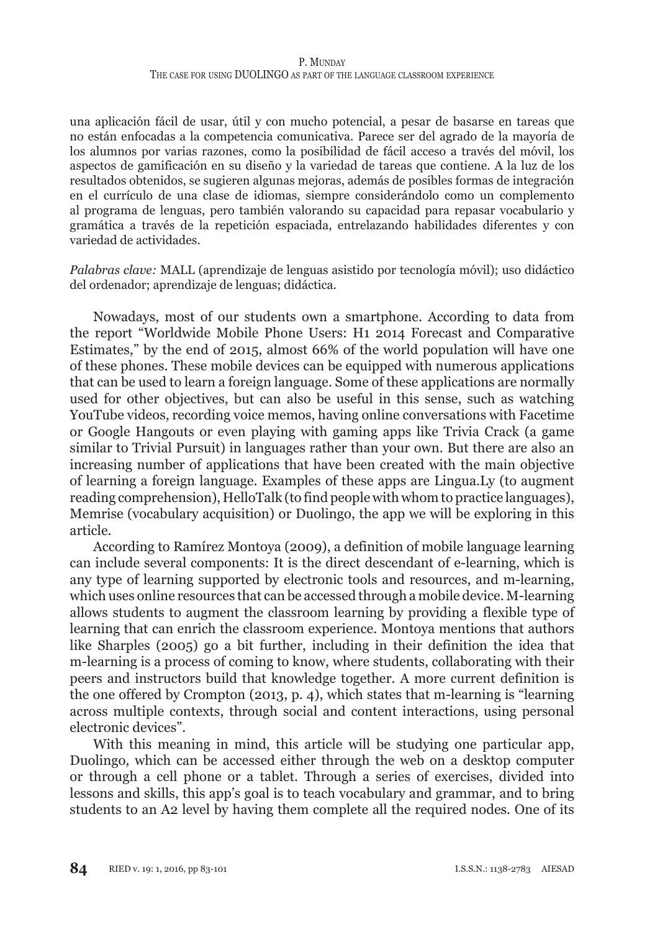una aplicación fácil de usar, útil y con mucho potencial, a pesar de basarse en tareas que no están enfocadas a la competencia comunicativa. Parece ser del agrado de la mayoría de los alumnos por varias razones, como la posibilidad de fácil acceso a través del móvil, los aspectos de gamificación en su diseño y la variedad de tareas que contiene. A la luz de los resultados obtenidos, se sugieren algunas mejoras, además de posibles formas de integración en el currículo de una clase de idiomas, siempre considerándolo como un complemento al programa de lenguas, pero también valorando su capacidad para repasar vocabulario y gramática a través de la repetición espaciada, entrelazando habilidades diferentes y con variedad de actividades.

*Palabras clave:* MALL (aprendizaje de lenguas asistido por tecnología móvil); uso didáctico del ordenador; aprendizaje de lenguas; didáctica.

Nowadays, most of our students own a smartphone. According to data from the report "Worldwide Mobile Phone Users: H1 2014 Forecast and Comparative Estimates," by the end of 2015, almost 66% of the world population will have one of these phones. These mobile devices can be equipped with numerous applications that can be used to learn a foreign language. Some of these applications are normally used for other objectives, but can also be useful in this sense, such as watching YouTube videos, recording voice memos, having online conversations with Facetime or Google Hangouts or even playing with gaming apps like Trivia Crack (a game similar to Trivial Pursuit) in languages rather than your own. But there are also an increasing number of applications that have been created with the main objective of learning a foreign language. Examples of these apps are Lingua.Ly (to augment reading comprehension), HelloTalk (to find people with whom to practice languages), Memrise (vocabulary acquisition) or Duolingo, the app we will be exploring in this article.

According to Ramírez Montoya (2009), a definition of mobile language learning can include several components: It is the direct descendant of e-learning, which is any type of learning supported by electronic tools and resources, and m-learning, which uses online resources that can be accessed through a mobile device. M-learning allows students to augment the classroom learning by providing a flexible type of learning that can enrich the classroom experience. Montoya mentions that authors like Sharples (2005) go a bit further, including in their definition the idea that m-learning is a process of coming to know, where students, collaborating with their peers and instructors build that knowledge together. A more current definition is the one offered by Crompton (2013, p. 4), which states that m-learning is "learning across multiple contexts, through social and content interactions, using personal electronic devices".

With this meaning in mind, this article will be studying one particular app, Duolingo, which can be accessed either through the web on a desktop computer or through a cell phone or a tablet. Through a series of exercises, divided into lessons and skills, this app's goal is to teach vocabulary and grammar, and to bring students to an A2 level by having them complete all the required nodes. One of its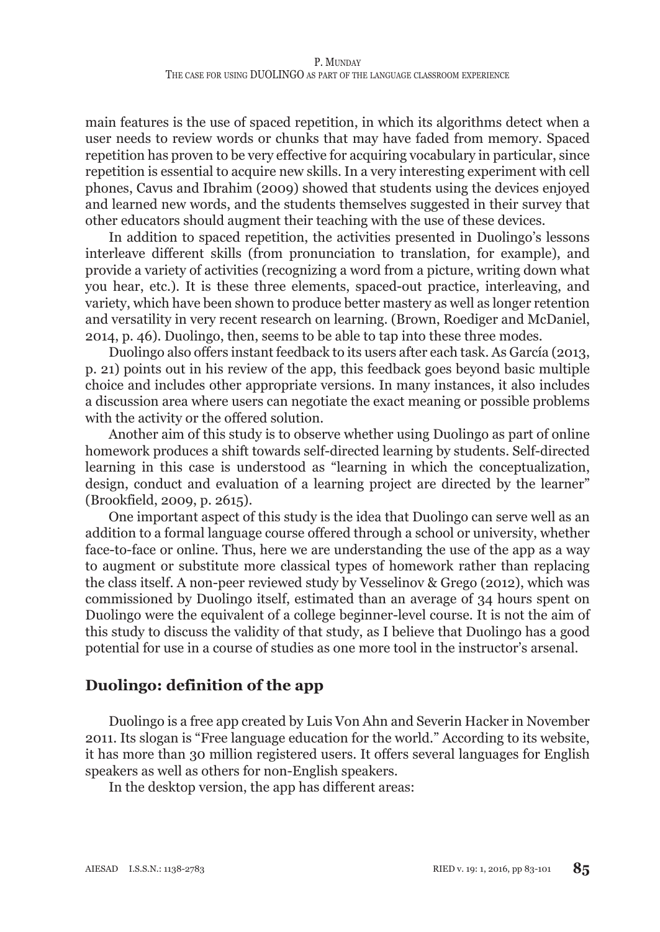main features is the use of spaced repetition, in which its algorithms detect when a user needs to review words or chunks that may have faded from memory. Spaced repetition has proven to be very effective for acquiring vocabulary in particular, since repetition is essential to acquire new skills. In a very interesting experiment with cell phones, Cavus and Ibrahim (2009) showed that students using the devices enjoyed and learned new words, and the students themselves suggested in their survey that other educators should augment their teaching with the use of these devices.

In addition to spaced repetition, the activities presented in Duolingo's lessons interleave different skills (from pronunciation to translation, for example), and provide a variety of activities (recognizing a word from a picture, writing down what you hear, etc.). It is these three elements, spaced-out practice, interleaving, and variety, which have been shown to produce better mastery as well as longer retention and versatility in very recent research on learning. (Brown, Roediger and McDaniel, 2014, p. 46). Duolingo, then, seems to be able to tap into these three modes.

Duolingo also offers instant feedback to its users after each task. As García (2013, p. 21) points out in his review of the app, this feedback goes beyond basic multiple choice and includes other appropriate versions. In many instances, it also includes a discussion area where users can negotiate the exact meaning or possible problems with the activity or the offered solution.

Another aim of this study is to observe whether using Duolingo as part of online homework produces a shift towards self-directed learning by students. Self-directed learning in this case is understood as "learning in which the conceptualization, design, conduct and evaluation of a learning project are directed by the learner" (Brookfield, 2009, p. 2615).

One important aspect of this study is the idea that Duolingo can serve well as an addition to a formal language course offered through a school or university, whether face-to-face or online. Thus, here we are understanding the use of the app as a way to augment or substitute more classical types of homework rather than replacing the class itself. A non-peer reviewed study by Vesselinov & Grego (2012), which was commissioned by Duolingo itself, estimated than an average of 34 hours spent on Duolingo were the equivalent of a college beginner-level course. It is not the aim of this study to discuss the validity of that study, as I believe that Duolingo has a good potential for use in a course of studies as one more tool in the instructor's arsenal.

## **Duolingo: definition of the app**

Duolingo is a free app created by Luis Von Ahn and Severin Hacker in November 2011. Its slogan is "Free language education for the world." According to its website, it has more than 30 million registered users. It offers several languages for English speakers as well as others for non-English speakers.

In the desktop version, the app has different areas: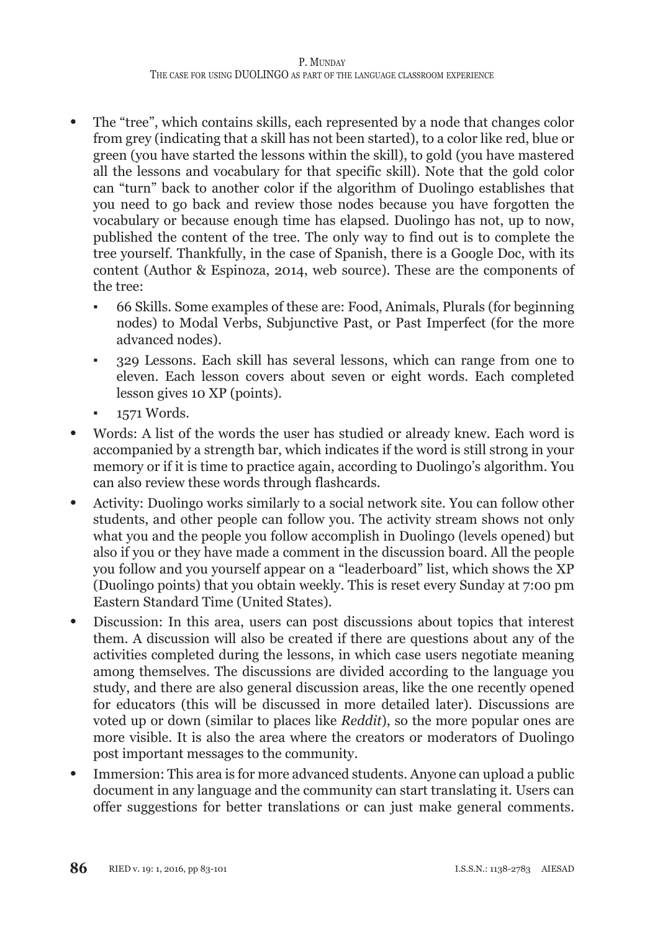- The "tree", which contains skills, each represented by a node that changes color from grey (indicating that a skill has not been started), to a color like red, blue or green (you have started the lessons within the skill), to gold (you have mastered all the lessons and vocabulary for that specific skill). Note that the gold color can "turn" back to another color if the algorithm of Duolingo establishes that you need to go back and review those nodes because you have forgotten the vocabulary or because enough time has elapsed. Duolingo has not, up to now, published the content of the tree. The only way to find out is to complete the tree yourself. Thankfully, in the case of Spanish, there is a Google Doc, with its content (Author & Espinoza, 2014, web source). These are the components of the tree:
	- **▪** 66 Skills. Some examples of these are: Food, Animals, Plurals (for beginning nodes) to Modal Verbs, Subjunctive Past, or Past Imperfect (for the more advanced nodes).
	- **▪** 329 Lessons. Each skill has several lessons, which can range from one to eleven. Each lesson covers about seven or eight words. Each completed lesson gives 10 XP (points).
	- **▪** 1571 Words.
- Words: A list of the words the user has studied or already knew. Each word is accompanied by a strength bar, which indicates if the word is still strong in your memory or if it is time to practice again, according to Duolingo's algorithm. You can also review these words through flashcards.
- Activity: Duolingo works similarly to a social network site. You can follow other students, and other people can follow you. The activity stream shows not only what you and the people you follow accomplish in Duolingo (levels opened) but also if you or they have made a comment in the discussion board. All the people you follow and you yourself appear on a "leaderboard" list, which shows the XP (Duolingo points) that you obtain weekly. This is reset every Sunday at 7:00 pm Eastern Standard Time (United States).
- Discussion: In this area, users can post discussions about topics that interest them. A discussion will also be created if there are questions about any of the activities completed during the lessons, in which case users negotiate meaning among themselves. The discussions are divided according to the language you study, and there are also general discussion areas, like the one recently opened for educators (this will be discussed in more detailed later). Discussions are voted up or down (similar to places like *Reddit*), so the more popular ones are more visible. It is also the area where the creators or moderators of Duolingo post important messages to the community.
- Immersion: This area is for more advanced students. Anyone can upload a public document in any language and the community can start translating it. Users can offer suggestions for better translations or can just make general comments.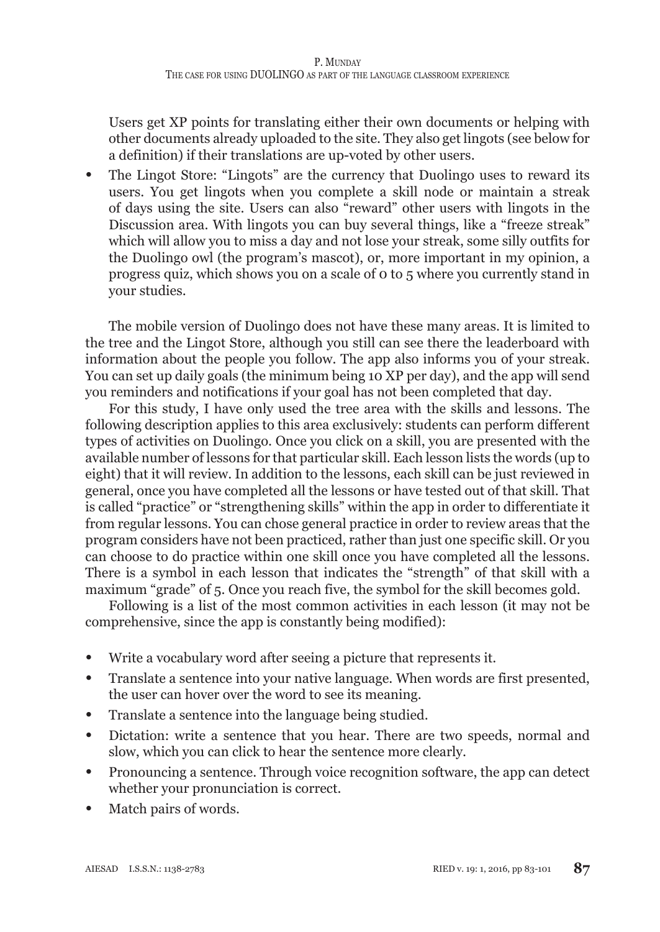Users get XP points for translating either their own documents or helping with other documents already uploaded to the site. They also get lingots (see below for a definition) if their translations are up-voted by other users.

• The Lingot Store: "Lingots" are the currency that Duolingo uses to reward its users. You get lingots when you complete a skill node or maintain a streak of days using the site. Users can also "reward" other users with lingots in the Discussion area. With lingots you can buy several things, like a "freeze streak" which will allow you to miss a day and not lose your streak, some silly outfits for the Duolingo owl (the program's mascot), or, more important in my opinion, a progress quiz, which shows you on a scale of 0 to 5 where you currently stand in your studies.

The mobile version of Duolingo does not have these many areas. It is limited to the tree and the Lingot Store, although you still can see there the leaderboard with information about the people you follow. The app also informs you of your streak. You can set up daily goals (the minimum being 10 XP per day), and the app will send you reminders and notifications if your goal has not been completed that day.

For this study, I have only used the tree area with the skills and lessons. The following description applies to this area exclusively: students can perform different types of activities on Duolingo. Once you click on a skill, you are presented with the available number of lessons for that particular skill. Each lesson lists the words (up to eight) that it will review. In addition to the lessons, each skill can be just reviewed in general, once you have completed all the lessons or have tested out of that skill. That is called "practice" or "strengthening skills" within the app in order to differentiate it from regular lessons. You can chose general practice in order to review areas that the program considers have not been practiced, rather than just one specific skill. Or you can choose to do practice within one skill once you have completed all the lessons. There is a symbol in each lesson that indicates the "strength" of that skill with a maximum "grade" of 5. Once you reach five, the symbol for the skill becomes gold.

Following is a list of the most common activities in each lesson (it may not be comprehensive, since the app is constantly being modified):

- Write a vocabulary word after seeing a picture that represents it.
- Translate a sentence into your native language. When words are first presented, the user can hover over the word to see its meaning.
- Translate a sentence into the language being studied.
- Dictation: write a sentence that you hear. There are two speeds, normal and slow, which you can click to hear the sentence more clearly.
- Pronouncing a sentence. Through voice recognition software, the app can detect whether your pronunciation is correct.
- Match pairs of words.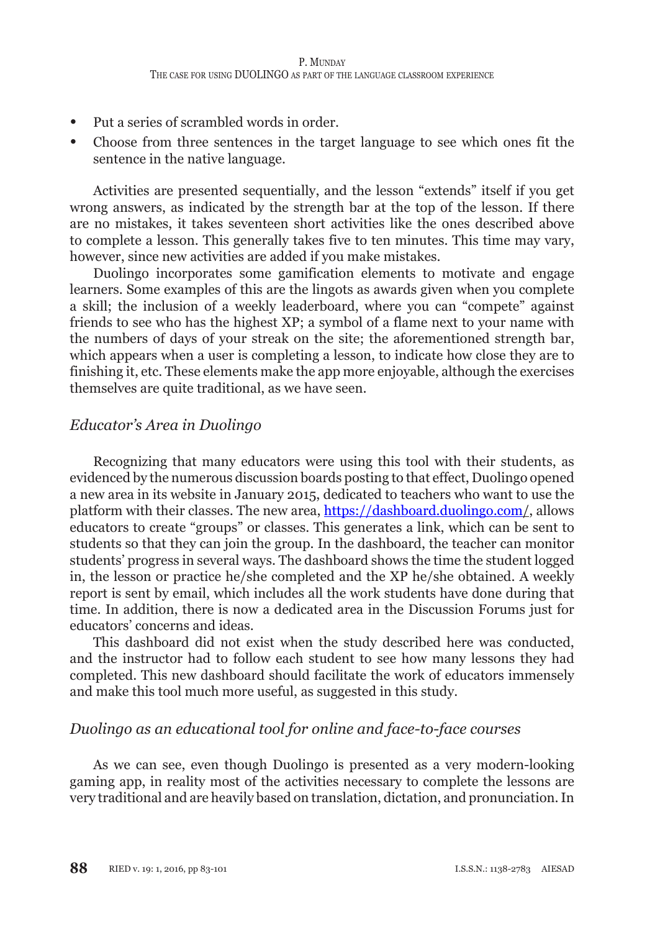- Put a series of scrambled words in order.
- Choose from three sentences in the target language to see which ones fit the sentence in the native language.

Activities are presented sequentially, and the lesson "extends" itself if you get wrong answers, as indicated by the strength bar at the top of the lesson. If there are no mistakes, it takes seventeen short activities like the ones described above to complete a lesson. This generally takes five to ten minutes. This time may vary, however, since new activities are added if you make mistakes.

Duolingo incorporates some gamification elements to motivate and engage learners. Some examples of this are the lingots as awards given when you complete a skill; the inclusion of a weekly leaderboard, where you can "compete" against friends to see who has the highest XP; a symbol of a flame next to your name with the numbers of days of your streak on the site; the aforementioned strength bar, which appears when a user is completing a lesson, to indicate how close they are to finishing it, etc. These elements make the app more enjoyable, although the exercises themselves are quite traditional, as we have seen.

## *Educator's Area in Duolingo*

Recognizing that many educators were using this tool with their students, as evidenced by the numerous discussion boards posting to that effect, Duolingo opened a new area in its website in January 2015, dedicated to teachers who want to use the platform with their classes. The new area, [https://dashboard.duolingo.com/](https://dashboard.duolingo.com), allows educators to create "groups" or classes. This generates a link, which can be sent to students so that they can join the group. In the dashboard, the teacher can monitor students' progress in several ways. The dashboard shows the time the student logged in, the lesson or practice he/she completed and the XP he/she obtained. A weekly report is sent by email, which includes all the work students have done during that time. In addition, there is now a dedicated area in the Discussion Forums just for educators' concerns and ideas.

This dashboard did not exist when the study described here was conducted, and the instructor had to follow each student to see how many lessons they had completed. This new dashboard should facilitate the work of educators immensely and make this tool much more useful, as suggested in this study.

## *Duolingo as an educational tool for online and face-to-face courses*

As we can see, even though Duolingo is presented as a very modern-looking gaming app, in reality most of the activities necessary to complete the lessons are very traditional and are heavily based on translation, dictation, and pronunciation. In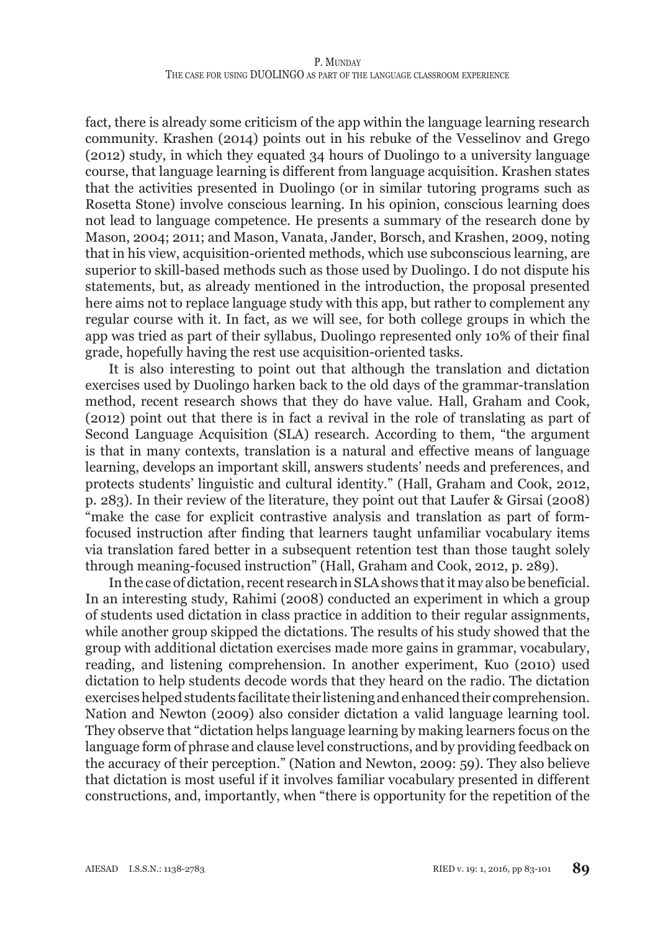fact, there is already some criticism of the app within the language learning research community. Krashen (2014) points out in his rebuke of the Vesselinov and Grego (2012) study, in which they equated 34 hours of Duolingo to a university language course, that language learning is different from language acquisition. Krashen states that the activities presented in Duolingo (or in similar tutoring programs such as Rosetta Stone) involve conscious learning. In his opinion, conscious learning does not lead to language competence. He presents a summary of the research done by Mason, 2004; 2011; and Mason, Vanata, Jander, Borsch, and Krashen, 2009, noting that in his view, acquisition-oriented methods, which use subconscious learning, are superior to skill-based methods such as those used by Duolingo. I do not dispute his statements, but, as already mentioned in the introduction, the proposal presented here aims not to replace language study with this app, but rather to complement any regular course with it. In fact, as we will see, for both college groups in which the app was tried as part of their syllabus, Duolingo represented only 10% of their final grade, hopefully having the rest use acquisition-oriented tasks.

It is also interesting to point out that although the translation and dictation exercises used by Duolingo harken back to the old days of the grammar-translation method, recent research shows that they do have value. Hall, Graham and Cook, (2012) point out that there is in fact a revival in the role of translating as part of Second Language Acquisition (SLA) research. According to them, "the argument is that in many contexts, translation is a natural and effective means of language learning, develops an important skill, answers students' needs and preferences, and protects students' linguistic and cultural identity." (Hall, Graham and Cook, 2012, p. 283). In their review of the literature, they point out that Laufer & Girsai (2008) "make the case for explicit contrastive analysis and translation as part of formfocused instruction after finding that learners taught unfamiliar vocabulary items via translation fared better in a subsequent retention test than those taught solely through meaning-focused instruction" (Hall, Graham and Cook, 2012, p. 289).

In the case of dictation, recent research in SLA shows that it may also be beneficial. In an interesting study, Rahimi (2008) conducted an experiment in which a group of students used dictation in class practice in addition to their regular assignments, while another group skipped the dictations. The results of his study showed that the group with additional dictation exercises made more gains in grammar, vocabulary, reading, and listening comprehension. In another experiment, Kuo (2010) used dictation to help students decode words that they heard on the radio. The dictation exercises helped students facilitate their listening and enhanced their comprehension. Nation and Newton (2009) also consider dictation a valid language learning tool. They observe that "dictation helps language learning by making learners focus on the language form of phrase and clause level constructions, and by providing feedback on the accuracy of their perception." (Nation and Newton, 2009: 59). They also believe that dictation is most useful if it involves familiar vocabulary presented in different constructions, and, importantly, when "there is opportunity for the repetition of the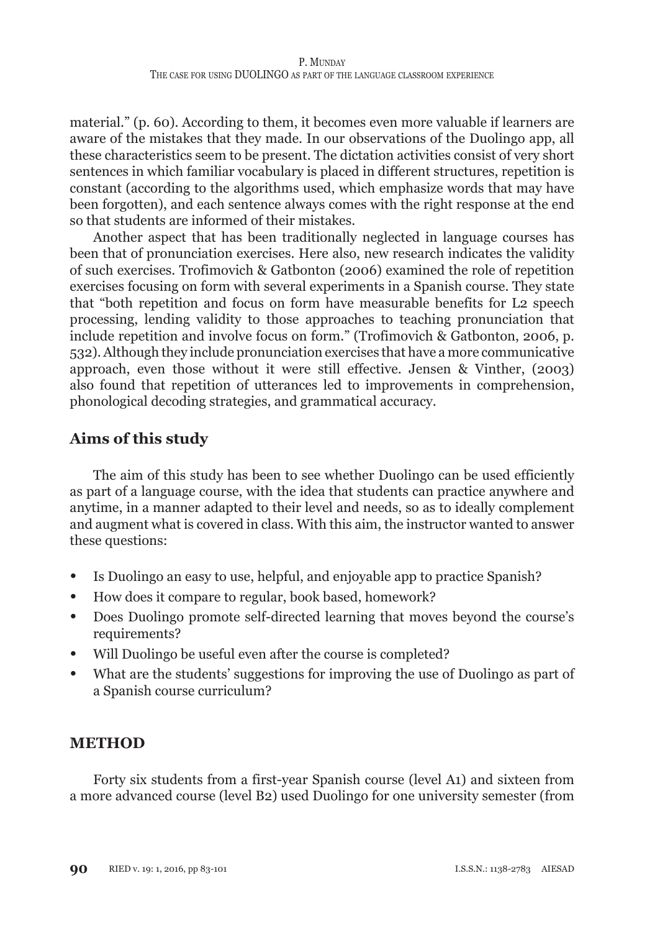material." (p. 60). According to them, it becomes even more valuable if learners are aware of the mistakes that they made. In our observations of the Duolingo app, all these characteristics seem to be present. The dictation activities consist of very short sentences in which familiar vocabulary is placed in different structures, repetition is constant (according to the algorithms used, which emphasize words that may have been forgotten), and each sentence always comes with the right response at the end so that students are informed of their mistakes.

Another aspect that has been traditionally neglected in language courses has been that of pronunciation exercises. Here also, new research indicates the validity of such exercises. Trofimovich & Gatbonton (2006) examined the role of repetition exercises focusing on form with several experiments in a Spanish course. They state that "both repetition and focus on form have measurable benefits for L2 speech processing, lending validity to those approaches to teaching pronunciation that include repetition and involve focus on form." (Trofimovich & Gatbonton, 2006, p. 532). Although they include pronunciation exercises that have a more communicative approach, even those without it were still effective. Jensen & Vinther, (2003) also found that repetition of utterances led to improvements in comprehension, phonological decoding strategies, and grammatical accuracy.

## **Aims of this study**

The aim of this study has been to see whether Duolingo can be used efficiently as part of a language course, with the idea that students can practice anywhere and anytime, in a manner adapted to their level and needs, so as to ideally complement and augment what is covered in class. With this aim, the instructor wanted to answer these questions:

- Is Duolingo an easy to use, helpful, and enjoyable app to practice Spanish?
- How does it compare to regular, book based, homework?
- Does Duolingo promote self-directed learning that moves beyond the course's requirements?
- Will Duolingo be useful even after the course is completed?
- What are the students' suggestions for improving the use of Duolingo as part of a Spanish course curriculum?

## **METHOD**

Forty six students from a first-year Spanish course (level A1) and sixteen from a more advanced course (level B2) used Duolingo for one university semester (from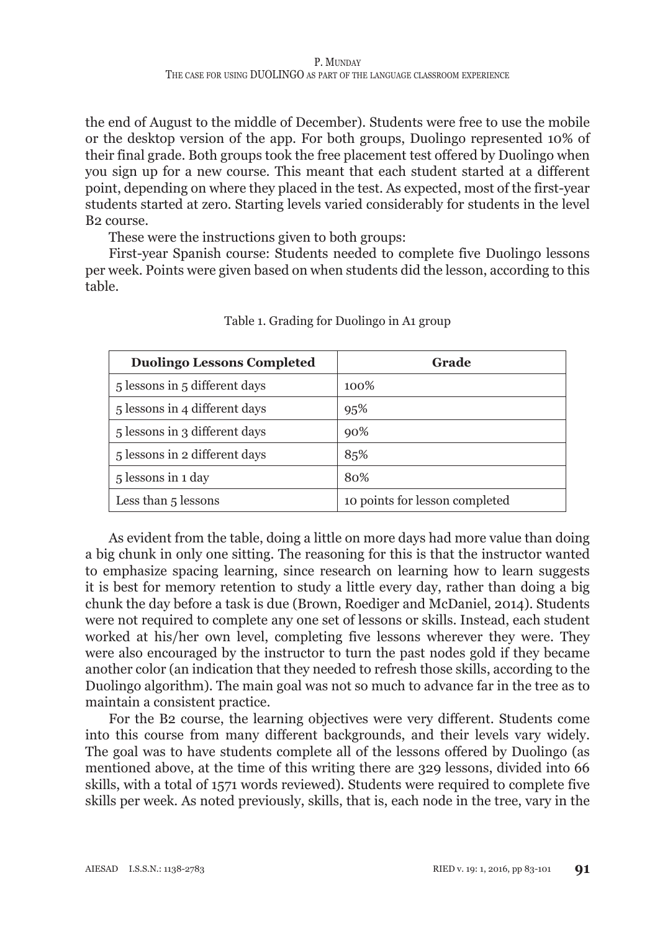the end of August to the middle of December). Students were free to use the mobile or the desktop version of the app. For both groups, Duolingo represented 10% of their final grade. Both groups took the free placement test offered by Duolingo when you sign up for a new course. This meant that each student started at a different point, depending on where they placed in the test. As expected, most of the first-year students started at zero. Starting levels varied considerably for students in the level B2 course.

These were the instructions given to both groups:

First-year Spanish course: Students needed to complete five Duolingo lessons per week. Points were given based on when students did the lesson, according to this table.

| <b>Duolingo Lessons Completed</b> | Grade                          |
|-----------------------------------|--------------------------------|
| 5 lessons in 5 different days     | $100\%$                        |
| 5 lessons in 4 different days     | 95%                            |
| 5 lessons in 3 different days     | 90%                            |
| 5 lessons in 2 different days     | 85%                            |
| 5 lessons in 1 day                | 80%                            |
| Less than 5 lessons               | 10 points for lesson completed |

### Table 1. Grading for Duolingo in A1 group

As evident from the table, doing a little on more days had more value than doing a big chunk in only one sitting. The reasoning for this is that the instructor wanted to emphasize spacing learning, since research on learning how to learn suggests it is best for memory retention to study a little every day, rather than doing a big chunk the day before a task is due (Brown, Roediger and McDaniel, 2014). Students were not required to complete any one set of lessons or skills. Instead, each student worked at his/her own level, completing five lessons wherever they were. They were also encouraged by the instructor to turn the past nodes gold if they became another color (an indication that they needed to refresh those skills, according to the Duolingo algorithm). The main goal was not so much to advance far in the tree as to maintain a consistent practice.

For the B2 course, the learning objectives were very different. Students come into this course from many different backgrounds, and their levels vary widely. The goal was to have students complete all of the lessons offered by Duolingo (as mentioned above, at the time of this writing there are 329 lessons, divided into 66 skills, with a total of 1571 words reviewed). Students were required to complete five skills per week. As noted previously, skills, that is, each node in the tree, vary in the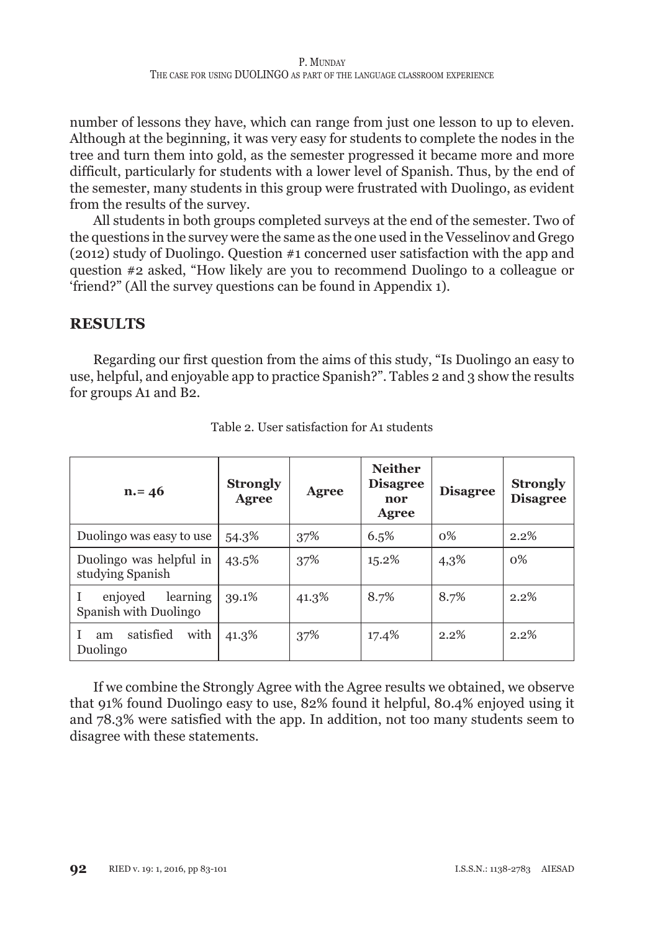number of lessons they have, which can range from just one lesson to up to eleven. Although at the beginning, it was very easy for students to complete the nodes in the tree and turn them into gold, as the semester progressed it became more and more difficult, particularly for students with a lower level of Spanish. Thus, by the end of the semester, many students in this group were frustrated with Duolingo, as evident from the results of the survey.

All students in both groups completed surveys at the end of the semester. Two of the questions in the survey were the same as the one used in the Vesselinov and Grego (2012) study of Duolingo. Question #1 concerned user satisfaction with the app and question #2 asked, "How likely are you to recommend Duolingo to a colleague or 'friend?" (All the survey questions can be found in Appendix 1).

## **RESULTS**

Regarding our first question from the aims of this study, "Is Duolingo an easy to use, helpful, and enjoyable app to practice Spanish?". Tables 2 and 3 show the results for groups A1 and B2.

| $n = 46$                                     | <b>Strongly</b><br>Agree | Agree | <b>Neither</b><br><b>Disagree</b><br>nor<br>Agree | <b>Disagree</b> | <b>Strongly</b><br><b>Disagree</b> |
|----------------------------------------------|--------------------------|-------|---------------------------------------------------|-----------------|------------------------------------|
| Duolingo was easy to use                     | 54.3%                    | 37%   | 6.5%                                              | $0\%$           | $2.2\%$                            |
| Duolingo was helpful in<br>studying Spanish  | $43.5\%$                 | 37%   | 15.2%                                             | $4,3\%$         | $0\%$                              |
| learning<br>enjoyed<br>Spanish with Duolingo | 39.1%                    | 41.3% | 8.7%                                              | 8.7%            | 2.2%                               |
| with<br>satisfied<br>am<br>Duolingo          | 41.3%                    | 37%   | 17.4%                                             | 2.2%            | 2.2%                               |

Table 2. User satisfaction for A1 students

If we combine the Strongly Agree with the Agree results we obtained, we observe that 91% found Duolingo easy to use, 82% found it helpful, 80.4% enjoyed using it and 78.3% were satisfied with the app. In addition, not too many students seem to disagree with these statements.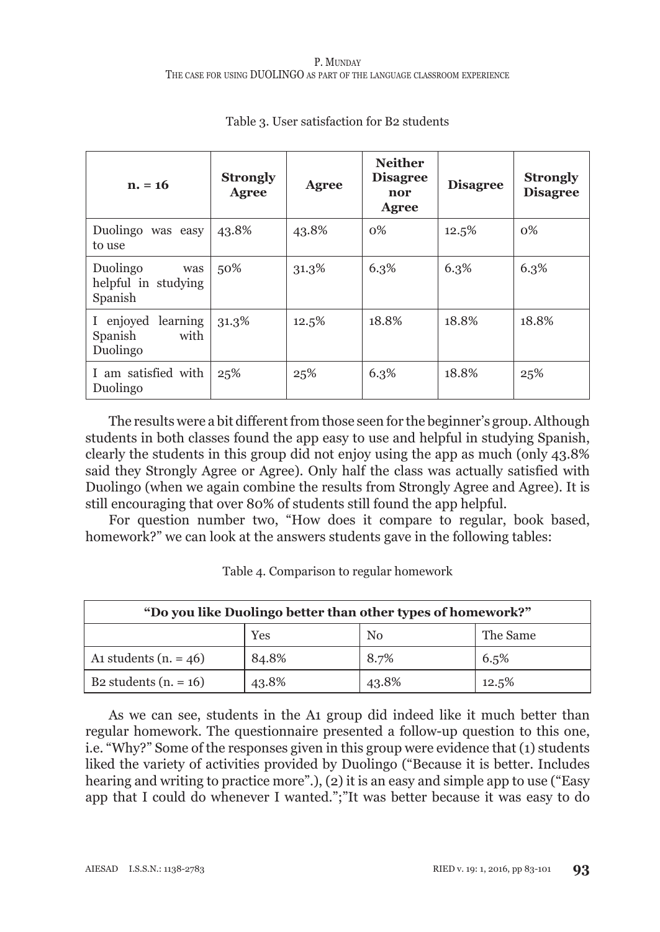| $n_{\rm r} = 16$                                  | <b>Strongly</b><br>Agree | <b>Agree</b> | <b>Neither</b><br><b>Disagree</b><br>nor<br><b>Agree</b> | <b>Disagree</b> | <b>Strongly</b><br><b>Disagree</b> |
|---------------------------------------------------|--------------------------|--------------|----------------------------------------------------------|-----------------|------------------------------------|
| Duolingo was easy<br>to use                       | 43.8%                    | 43.8%        | $0\%$                                                    | 12.5%           | $0\%$                              |
| Duolingo<br>was<br>helpful in studying<br>Spanish | 50%                      | 31.3%        | 6.3%                                                     | 6.3%            | 6.3%                               |
| I enjoyed learning<br>Spanish<br>with<br>Duolingo | 31.3%                    | 12.5%        | 18.8%                                                    | 18.8%           | 18.8%                              |
| I am satisfied with<br>Duolingo                   | 25%                      | 25%          | 6.3%                                                     | 18.8%           | 25%                                |

#### Table 3. User satisfaction for B2 students

The results were a bit different from those seen for the beginner's group. Although students in both classes found the app easy to use and helpful in studying Spanish, clearly the students in this group did not enjoy using the app as much (only 43.8% said they Strongly Agree or Agree). Only half the class was actually satisfied with Duolingo (when we again combine the results from Strongly Agree and Agree). It is still encouraging that over 80% of students still found the app helpful.

For question number two, "How does it compare to regular, book based, homework?" we can look at the answers students gave in the following tables:

| "Do you like Duolingo better than other types of homework?" |       |       |       |  |  |  |  |
|-------------------------------------------------------------|-------|-------|-------|--|--|--|--|
| The Same<br>Yes<br>No                                       |       |       |       |  |  |  |  |
| At students $(n. = 46)$                                     | 84.8% | 8.7%  | 6.5%  |  |  |  |  |
| B2 students $(n. = 16)$                                     | 43.8% | 43.8% | 12.5% |  |  |  |  |

| Table 4. Comparison to regular homework |  |
|-----------------------------------------|--|
|                                         |  |

As we can see, students in the A1 group did indeed like it much better than regular homework. The questionnaire presented a follow-up question to this one, i.e. "Why?" Some of the responses given in this group were evidence that (1) students liked the variety of activities provided by Duolingo ("Because it is better. Includes hearing and writing to practice more".), (2) it is an easy and simple app to use ("Easy app that I could do whenever I wanted.";"It was better because it was easy to do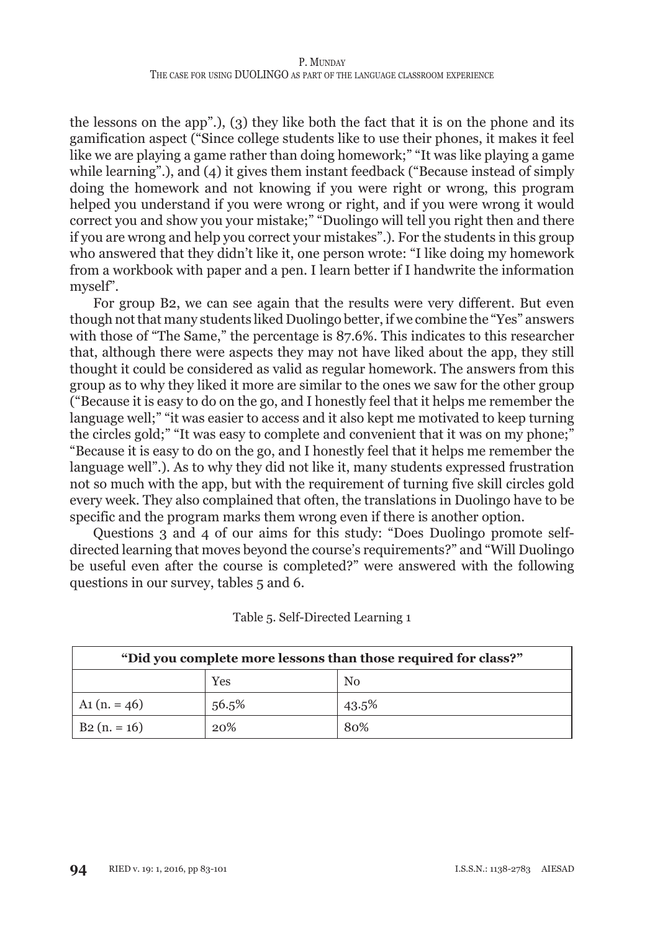the lessons on the app".), (3) they like both the fact that it is on the phone and its gamification aspect ("Since college students like to use their phones, it makes it feel like we are playing a game rather than doing homework;" "It was like playing a game while learning".), and (4) it gives them instant feedback ("Because instead of simply doing the homework and not knowing if you were right or wrong, this program helped you understand if you were wrong or right, and if you were wrong it would correct you and show you your mistake;" "Duolingo will tell you right then and there if you are wrong and help you correct your mistakes".). For the students in this group who answered that they didn't like it, one person wrote: "I like doing my homework from a workbook with paper and a pen. I learn better if I handwrite the information myself".

For group B2, we can see again that the results were very different. But even though not that many students liked Duolingo better, if we combine the "Yes" answers with those of "The Same," the percentage is 87.6%. This indicates to this researcher that, although there were aspects they may not have liked about the app, they still thought it could be considered as valid as regular homework. The answers from this group as to why they liked it more are similar to the ones we saw for the other group ("Because it is easy to do on the go, and I honestly feel that it helps me remember the language well;" "it was easier to access and it also kept me motivated to keep turning the circles gold;" "It was easy to complete and convenient that it was on my phone;" "Because it is easy to do on the go, and I honestly feel that it helps me remember the language well".). As to why they did not like it, many students expressed frustration not so much with the app, but with the requirement of turning five skill circles gold every week. They also complained that often, the translations in Duolingo have to be specific and the program marks them wrong even if there is another option.

Questions 3 and 4 of our aims for this study: "Does Duolingo promote selfdirected learning that moves beyond the course's requirements?" and "Will Duolingo be useful even after the course is completed?" were answered with the following questions in our survey, tables 5 and 6.

| "Did you complete more lessons than those required for class?" |       |       |  |  |  |  |
|----------------------------------------------------------------|-------|-------|--|--|--|--|
|                                                                | Yes   | No    |  |  |  |  |
| A1 $(n. = 46)$                                                 | 56.5% | 43.5% |  |  |  |  |
| $B_2(n = 16)$                                                  | 20%   | 80%   |  |  |  |  |

Table 5. Self-Directed Learning 1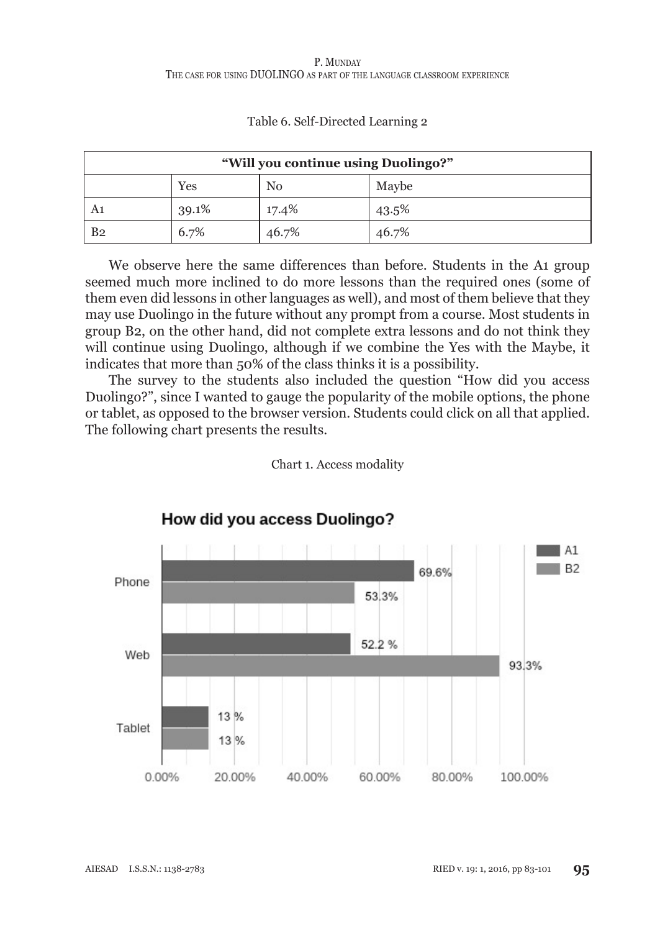| "Will you continue using Duolingo?" |       |       |       |  |  |  |  |
|-------------------------------------|-------|-------|-------|--|--|--|--|
|                                     | Yes   | No    | Maybe |  |  |  |  |
| A1                                  | 39.1% | 17.4% | 43.5% |  |  |  |  |
| B <sub>2</sub>                      | 6.7%  | 46.7% | 46.7% |  |  |  |  |

#### Table 6. Self-Directed Learning 2

We observe here the same differences than before. Students in the A1 group seemed much more inclined to do more lessons than the required ones (some of them even did lessons in other languages as well), and most of them believe that they may use Duolingo in the future without any prompt from a course. Most students in group B2, on the other hand, did not complete extra lessons and do not think they will continue using Duolingo, although if we combine the Yes with the Maybe, it indicates that more than 50% of the class thinks it is a possibility.

The survey to the students also included the question "How did you access Duolingo?", since I wanted to gauge the popularity of the mobile options, the phone or tablet, as opposed to the browser version. Students could click on all that applied. The following chart presents the results.



#### Chart 1. Access modality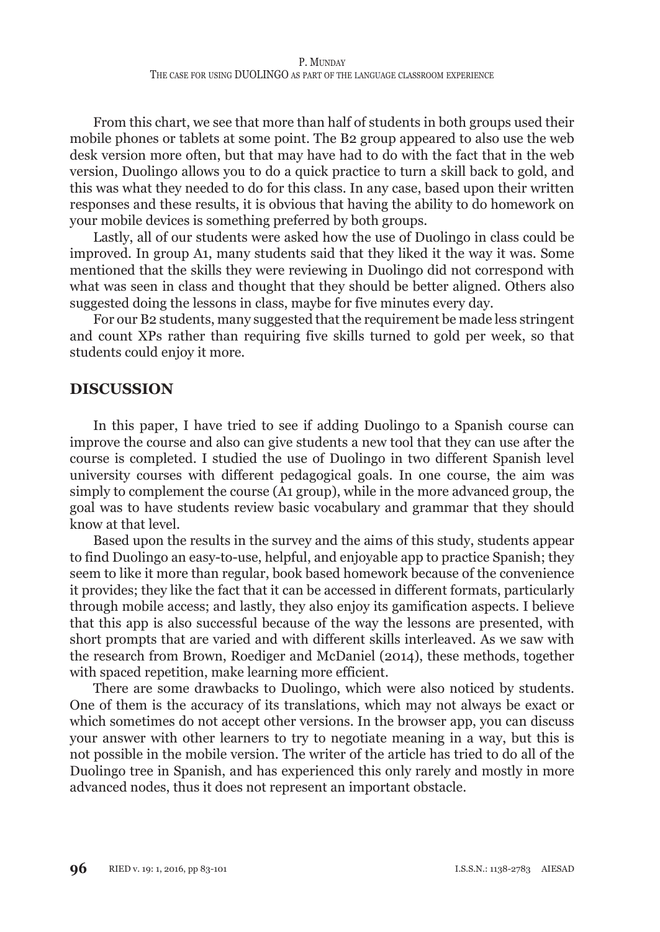From this chart, we see that more than half of students in both groups used their mobile phones or tablets at some point. The B2 group appeared to also use the web desk version more often, but that may have had to do with the fact that in the web version, Duolingo allows you to do a quick practice to turn a skill back to gold, and this was what they needed to do for this class. In any case, based upon their written responses and these results, it is obvious that having the ability to do homework on your mobile devices is something preferred by both groups.

Lastly, all of our students were asked how the use of Duolingo in class could be improved. In group A1, many students said that they liked it the way it was. Some mentioned that the skills they were reviewing in Duolingo did not correspond with what was seen in class and thought that they should be better aligned. Others also suggested doing the lessons in class, maybe for five minutes every day.

For our B2 students, many suggested that the requirement be made less stringent and count XPs rather than requiring five skills turned to gold per week, so that students could enjoy it more.

## **DISCUSSION**

In this paper, I have tried to see if adding Duolingo to a Spanish course can improve the course and also can give students a new tool that they can use after the course is completed. I studied the use of Duolingo in two different Spanish level university courses with different pedagogical goals. In one course, the aim was simply to complement the course (A1 group), while in the more advanced group, the goal was to have students review basic vocabulary and grammar that they should know at that level.

Based upon the results in the survey and the aims of this study, students appear to find Duolingo an easy-to-use, helpful, and enjoyable app to practice Spanish; they seem to like it more than regular, book based homework because of the convenience it provides; they like the fact that it can be accessed in different formats, particularly through mobile access; and lastly, they also enjoy its gamification aspects. I believe that this app is also successful because of the way the lessons are presented, with short prompts that are varied and with different skills interleaved. As we saw with the research from Brown, Roediger and McDaniel (2014), these methods, together with spaced repetition, make learning more efficient.

There are some drawbacks to Duolingo, which were also noticed by students. One of them is the accuracy of its translations, which may not always be exact or which sometimes do not accept other versions. In the browser app, you can discuss your answer with other learners to try to negotiate meaning in a way, but this is not possible in the mobile version. The writer of the article has tried to do all of the Duolingo tree in Spanish, and has experienced this only rarely and mostly in more advanced nodes, thus it does not represent an important obstacle.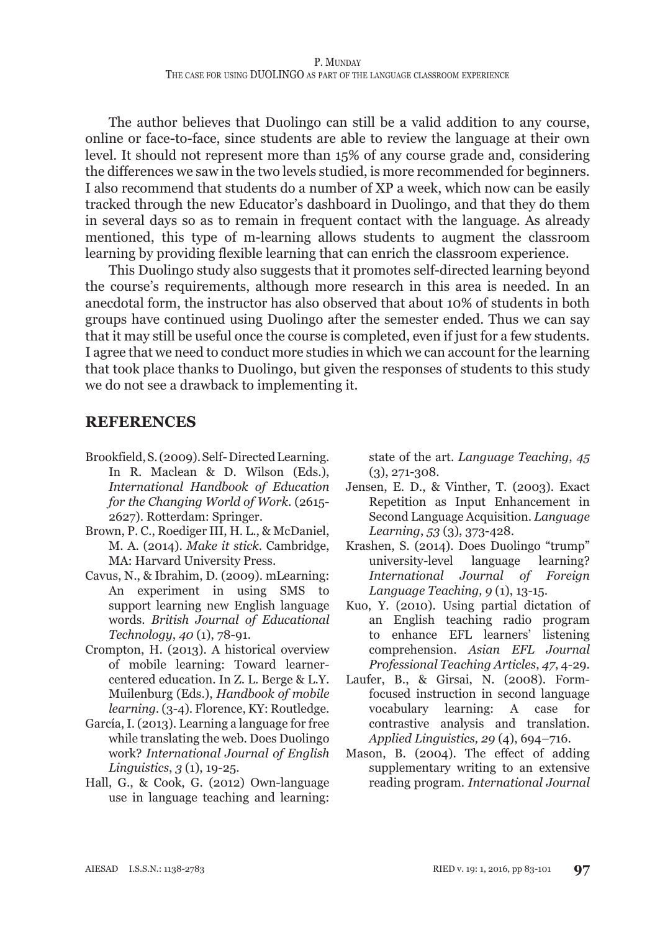The author believes that Duolingo can still be a valid addition to any course, online or face-to-face, since students are able to review the language at their own level. It should not represent more than 15% of any course grade and, considering the differences we saw in the two levels studied, is more recommended for beginners. I also recommend that students do a number of XP a week, which now can be easily tracked through the new Educator's dashboard in Duolingo, and that they do them in several days so as to remain in frequent contact with the language. As already mentioned, this type of m-learning allows students to augment the classroom learning by providing flexible learning that can enrich the classroom experience.

This Duolingo study also suggests that it promotes self-directed learning beyond the course's requirements, although more research in this area is needed. In an anecdotal form, the instructor has also observed that about 10% of students in both groups have continued using Duolingo after the semester ended. Thus we can say that it may still be useful once the course is completed, even if just for a few students. I agree that we need to conduct more studies in which we can account for the learning that took place thanks to Duolingo, but given the responses of students to this study we do not see a drawback to implementing it.

## **REFERENCES**

- Brookfield, S. (2009). Self- Directed Learning. In R. Maclean & D. Wilson (Eds.), *International Handbook of Education for the Changing World of Work*. (2615- 2627). Rotterdam: Springer.
- Brown, P. C., Roediger III, H. L., & McDaniel, M. A. (2014). *Make it stick*. Cambridge, MA: Harvard University Press.
- Cavus, N., & Ibrahim, D. (2009). mLearning: An experiment in using SMS to support learning new English language words. *British Journal of Educational Technology*, *40* (1), 78-91.
- Crompton, H. (2013). A historical overview of mobile learning: Toward learnercentered education. In Z. L. Berge & L.Y. Muilenburg (Eds.), *Handbook of mobile learning.* (3-4). Florence, KY: Routledge.
- García, I. (2013). Learning a language for free while translating the web. Does Duolingo work? *International Journal of English Linguistics*, *3* (1), 19-25.
- Hall, G., & Cook, G. (2012) Own-language use in language teaching and learning:

state of the art. *Language Teaching*, *45* (3), 271-308.

- Jensen, E. D., & Vinther, T. (2003). Exact Repetition as Input Enhancement in Second Language Acquisition. *Language Learning*, *53* (3), 373-428.
- Krashen, S. (2014). Does Duolingo "trump" university-level language learning? *International Journal of Foreign Language Teaching, 9* (1), 13-15.
- Kuo, Y. (2010). Using partial dictation of an English teaching radio program to enhance EFL learners' listening comprehension. *Asian EFL Journal Professional Teaching Articles*, *47*, 4-29.
- Laufer, B., & Girsai, N. (2008). Formfocused instruction in second language vocabulary learning: A case for contrastive analysis and translation. *Applied Linguistics, 29* (4), 694–716.
- Mason, B. (2004). The effect of adding supplementary writing to an extensive reading program. *International Journal*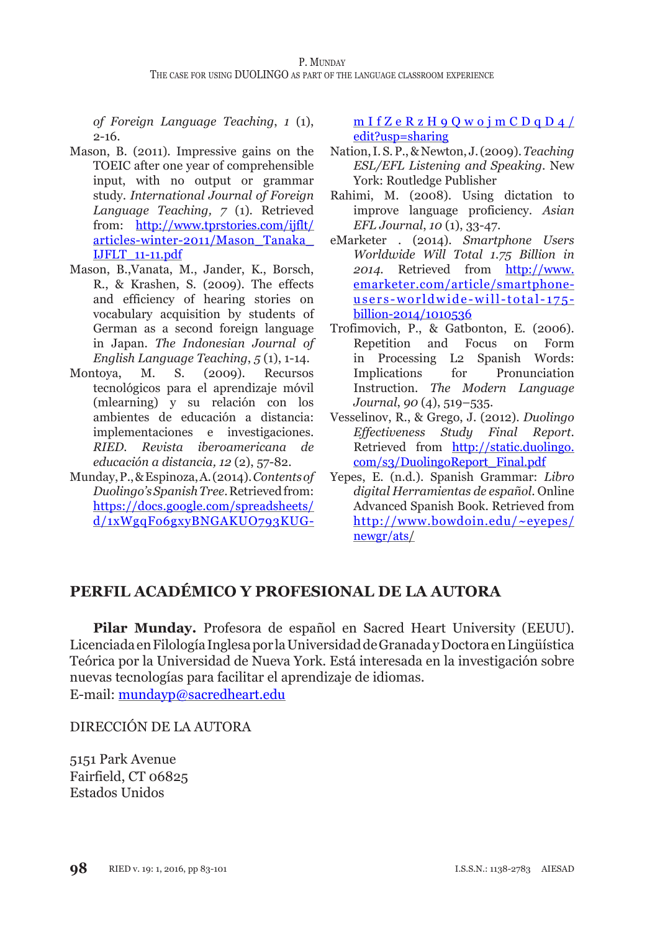*of Foreign Language Teaching*, *1* (1), 2-16.

- Mason, B. (2011). Impressive gains on the TOEIC after one year of comprehensible input, with no output or grammar study. *International Journal of Foreign Language Teaching, 7* (1). Retrieved from: [http://www.tprstories.com/ijflt/](http://www.tprstories.com/ijflt/articles-winter-2011/Mason_Tanaka_IJFLT_11-11.pdf) [articles-winter-2011/Mason\\_Tanaka\\_](http://www.tprstories.com/ijflt/articles-winter-2011/Mason_Tanaka_IJFLT_11-11.pdf) [IJFLT\\_11-11.pdf](http://www.tprstories.com/ijflt/articles-winter-2011/Mason_Tanaka_IJFLT_11-11.pdf)
- Mason, B.,Vanata, M., Jander, K., Borsch, R., & Krashen, S. (2009). The effects and efficiency of hearing stories on vocabulary acquisition by students of German as a second foreign language in Japan. *The Indonesian Journal of English Language Teaching*, *5* (1), 1-14.
- Montoya, M. S. (2009). Recursos tecnológicos para el aprendizaje móvil (mlearning) y su relación con los ambientes de educación a distancia: implementaciones e investigaciones. *RIED. Revista iberoamericana de educación a distancia, 12* (2), 57-82.
- Munday, P., & Espinoza, A. (2014). *Contents of Duolingo's Spanish Tree*. Retrieved from: [https://docs.google.com/spreadsheets/](https://docs.google.com/spreadsheets/d/1xWgqFo6gxyBNGAKUO793KUG-mIfZeRzH9QwojmCDqD4/edit?usp=sharing) [d/1xWgqFo6gxyBNGAKUO793KUG-](https://docs.google.com/spreadsheets/d/1xWgqFo6gxyBNGAKUO793KUG-mIfZeRzH9QwojmCDqD4/edit?usp=sharing)

[mIfZeRzH9QwojmCDqD4/](https://docs.google.com/spreadsheets/d/1xWgqFo6gxyBNGAKUO793KUG-mIfZeRzH9QwojmCDqD4/edit?usp=sharing) [edit?usp=sharing](https://docs.google.com/spreadsheets/d/1xWgqFo6gxyBNGAKUO793KUG-mIfZeRzH9QwojmCDqD4/edit?usp=sharing)

- Nation, I. S. P., & Newton, J. (2009). *Teaching ESL/EFL Listening and Speaking*. New York: Routledge Publisher
- Rahimi, M. (2008). Using dictation to improve language proficiency. *Asian EFL Journal*, *10* (1), 33-47.
- eMarketer . (2014). *Smartphone Users Worldwide Will Total 1.75 Billion in 2014*. Retrieved from [http://www.](http://www.emarketer.com/article/smartphone-users-worldwide-will-total-175-billion-2014/1010536) [emarketer.com/article/smartphone](http://www.emarketer.com/article/smartphone-users-worldwide-will-total-175-billion-2014/1010536)[users-worldwide-will-total-175](http://www.emarketer.com/article/smartphone-users-worldwide-will-total-175-billion-2014/1010536) [billion-2014/1010536](http://www.emarketer.com/article/smartphone-users-worldwide-will-total-175-billion-2014/1010536)
- Trofimovich, P., & Gatbonton, E. (2006). Repetition and Focus on Form in Processing L2 Spanish Words: Implications for Pronunciation Instruction. *The Modern Language Journal*, *90* (4), 519–535.
- Vesselinov, R., & Grego, J. (2012). *Duolingo Effectiveness Study Final Report*. Retrieved from [http://static.duolingo.](http://static.duolingo.com/s3/DuolingoReport_Final.pdf) [com/s3/DuolingoReport\\_Final.pdf](http://static.duolingo.com/s3/DuolingoReport_Final.pdf)
- Yepes, E. (n.d.). Spanish Grammar: *Libro digital Herramientas de español*. Online Advanced Spanish Book. Retrieved from [http://www.bowdoin.edu/~eyepes/](http://www.bowdoin.edu/~eyepes/newgr/ats) [newgr/ats/](http://www.bowdoin.edu/~eyepes/newgr/ats)

## **PERFIL ACADÉMICO Y PROFESIONAL DE LA AUTORA**

**Pilar Munday.** Profesora de español en Sacred Heart University (EEUU). Licenciada en Filología Inglesa por la Universidad de Granada y Doctora en Lingüística Teórica por la Universidad de Nueva York. Está interesada en la investigación sobre nuevas tecnologías para facilitar el aprendizaje de idiomas. E-mail: [mundayp@sacredheart.edu](mailto:mundayp@sacredheart.edu)

DIRECCIÓN DE LA AUTORA

5151 Park Avenue Fairfield, CT 06825 Estados Unidos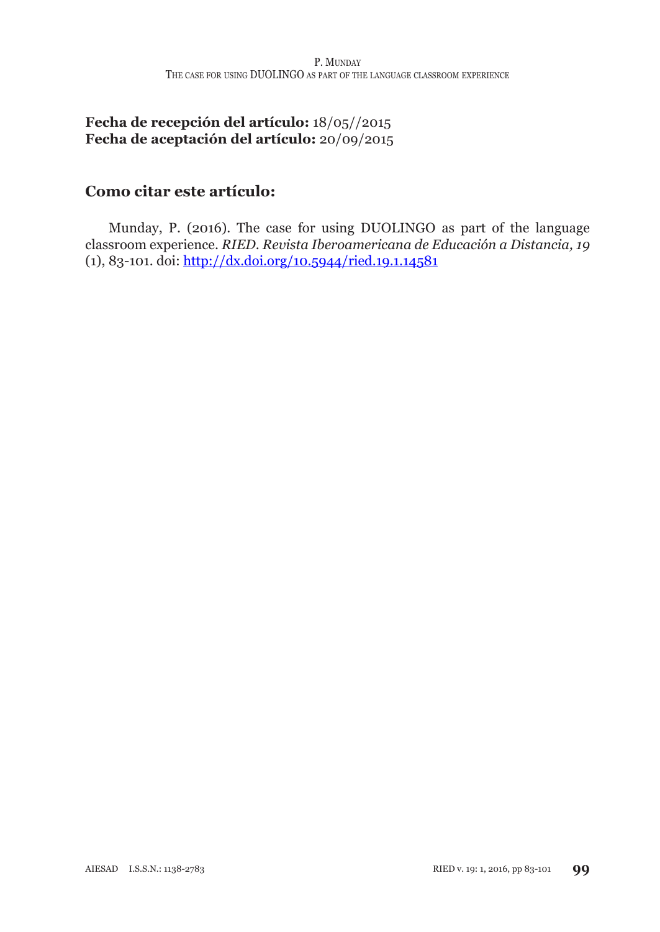## **Fecha de recepción del artículo:** 18/05//2015 **Fecha de aceptación del artículo:** 20/09/2015

## **Como citar este artículo:**

Munday, P. (2016). The case for using DUOLINGO as part of the language classroom experience. *RIED*. *Revista Iberoamericana de Educación a Distancia, 19* (1), 83-101. doi: <http://dx.doi.org/10.5944/ried.19.1.14581>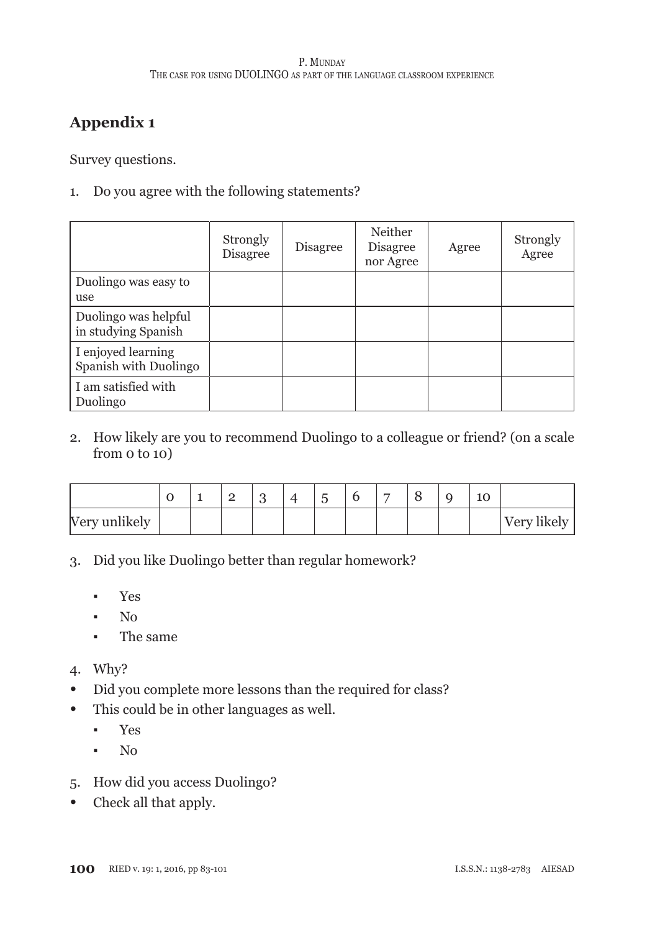## **Appendix 1**

Survey questions.

1. Do you agree with the following statements?

|                                             | Strongly<br>Disagree | <b>Disagree</b> | <b>Neither</b><br><b>Disagree</b><br>nor Agree | Agree | Strongly<br>Agree |
|---------------------------------------------|----------------------|-----------------|------------------------------------------------|-------|-------------------|
| Duolingo was easy to<br>use                 |                      |                 |                                                |       |                   |
| Duolingo was helpful<br>in studying Spanish |                      |                 |                                                |       |                   |
| I enjoyed learning<br>Spanish with Duolingo |                      |                 |                                                |       |                   |
| I am satisfied with<br>Duolingo             |                      |                 |                                                |       |                   |

2. How likely are you to recommend Duolingo to a colleague or friend? (on a scale from 0 to 10)

|               |  | u | $\overline{\phantom{0}}$ |  | c |  |             |
|---------------|--|---|--------------------------|--|---|--|-------------|
| Very unlikely |  |   |                          |  |   |  | Very likely |

## 3. Did you like Duolingo better than regular homework?

- **▪** Yes
- **▪** No
- **▪** The same
- 4. Why?
- Did you complete more lessons than the required for class?
- This could be in other languages as well.
	- **▪** Yes
	- **▪** No
- 5. How did you access Duolingo?
- Check all that apply.